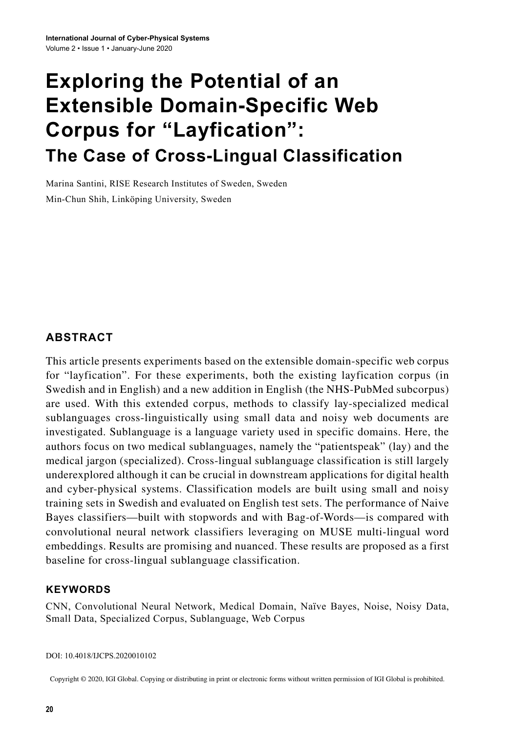# **Exploring the Potential of an Extensible Domain-Specific Web Corpus for "Layfication": The Case of Cross-Lingual Classification**

Marina Santini, RISE Research Institutes of Sweden, Sweden Min-Chun Shih, Linköping University, Sweden

## **ABSTRACT**

This article presents experiments based on the extensible domain-specific web corpus for "layfication". For these experiments, both the existing layfication corpus (in Swedish and in English) and a new addition in English (the NHS-PubMed subcorpus) are used. With this extended corpus, methods to classify lay-specialized medical sublanguages cross-linguistically using small data and noisy web documents are investigated. Sublanguage is a language variety used in specific domains. Here, the authors focus on two medical sublanguages, namely the "patientspeak" (lay) and the medical jargon (specialized). Cross-lingual sublanguage classification is still largely underexplored although it can be crucial in downstream applications for digital health and cyber-physical systems. Classification models are built using small and noisy training sets in Swedish and evaluated on English test sets. The performance of Naive Bayes classifiers—built with stopwords and with Bag-of-Words—is compared with convolutional neural network classifiers leveraging on MUSE multi-lingual word embeddings. Results are promising and nuanced. These results are proposed as a first baseline for cross-lingual sublanguage classification.

### **Keywords**

CNN, Convolutional Neural Network, Medical Domain, Naïve Bayes, Noise, Noisy Data, Small Data, Specialized Corpus, Sublanguage, Web Corpus

DOI: 10.4018/IJCPS.2020010102

Copyright © 2020, IGI Global. Copying or distributing in print or electronic forms without written permission of IGI Global is prohibited.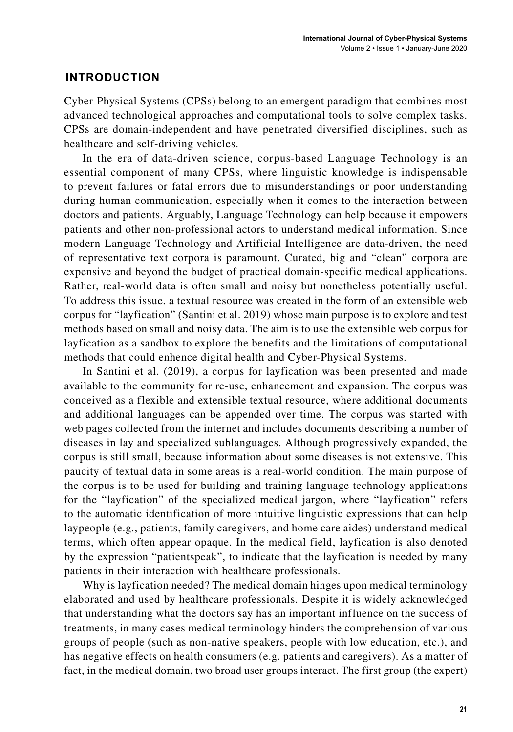### **INTRODUCTION**

Cyber-Physical Systems (CPSs) belong to an emergent paradigm that combines most advanced technological approaches and computational tools to solve complex tasks. CPSs are domain-independent and have penetrated diversified disciplines, such as healthcare and self-driving vehicles.

In the era of data-driven science, corpus-based Language Technology is an essential component of many CPSs, where linguistic knowledge is indispensable to prevent failures or fatal errors due to misunderstandings or poor understanding during human communication, especially when it comes to the interaction between doctors and patients. Arguably, Language Technology can help because it empowers patients and other non-professional actors to understand medical information. Since modern Language Technology and Artificial Intelligence are data-driven, the need of representative text corpora is paramount. Curated, big and "clean" corpora are expensive and beyond the budget of practical domain-specific medical applications. Rather, real-world data is often small and noisy but nonetheless potentially useful. To address this issue, a textual resource was created in the form of an extensible web corpus for "layfication" (Santini et al. 2019) whose main purpose is to explore and test methods based on small and noisy data. The aim is to use the extensible web corpus for layfication as a sandbox to explore the benefits and the limitations of computational methods that could enhence digital health and Cyber-Physical Systems.

In Santini et al. (2019), a corpus for layfication was been presented and made available to the community for re-use, enhancement and expansion. The corpus was conceived as a flexible and extensible textual resource, where additional documents and additional languages can be appended over time. The corpus was started with web pages collected from the internet and includes documents describing a number of diseases in lay and specialized sublanguages. Although progressively expanded, the corpus is still small, because information about some diseases is not extensive. This paucity of textual data in some areas is a real-world condition. The main purpose of the corpus is to be used for building and training language technology applications for the "layfication" of the specialized medical jargon, where "layfication" refers to the automatic identification of more intuitive linguistic expressions that can help laypeople (e.g., patients, family caregivers, and home care aides) understand medical terms, which often appear opaque. In the medical field, layfication is also denoted by the expression "patientspeak", to indicate that the layfication is needed by many patients in their interaction with healthcare professionals.

Why is layfication needed? The medical domain hinges upon medical terminology elaborated and used by healthcare professionals. Despite it is widely acknowledged that understanding what the doctors say has an important influence on the success of treatments, in many cases medical terminology hinders the comprehension of various groups of people (such as non-native speakers, people with low education, etc.), and has negative effects on health consumers (e.g. patients and caregivers). As a matter of fact, in the medical domain, two broad user groups interact. The first group (the expert)